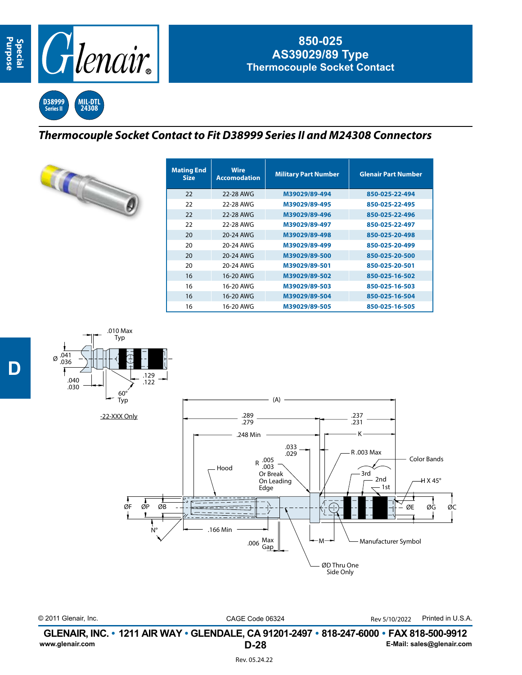**D**



## **850-025 AS39029/89 Type Thermocouple Socket Contact**

**D38999 Series II MIL-DTL 24308**

## *Thermocouple Socket Contact to Fit D38999 Series II and M24308 Connectors*



| <b>Mating End</b><br><b>Size</b> | <b>Wire</b><br><b>Accomodation</b> | <b>Military Part Number</b> | <b>Glenair Part Number</b> |  |  |
|----------------------------------|------------------------------------|-----------------------------|----------------------------|--|--|
| 22                               | 22-28 AWG                          | M39029/89-494               | 850-025-22-494             |  |  |
| 22                               | 22-28 AWG                          | M39029/89-495               | 850-025-22-495             |  |  |
| 22                               | 22-28 AWG                          | M39029/89-496               | 850-025-22-496             |  |  |
| 22                               | 22-28 AWG                          | M39029/89-497               | 850-025-22-497             |  |  |
| 20                               | 20-24 AWG                          | M39029/89-498               | 850-025-20-498             |  |  |
| 20                               | 20-24 AWG                          | M39029/89-499               | 850-025-20-499             |  |  |
| 20                               | 20-24 AWG                          | M39029/89-500               | 850-025-20-500             |  |  |
| 20                               | 20-24 AWG                          | M39029/89-501               | 850-025-20-501             |  |  |
| 16                               | 16-20 AWG                          | M39029/89-502               | 850-025-16-502             |  |  |
| 16                               | 16-20 AWG                          | M39029/89-503               | 850-025-16-503             |  |  |
| 16                               | 16-20 AWG                          | M39029/89-504               | 850-025-16-504             |  |  |
| 16                               | 16-20 AWG                          | M39029/89-505               | 850-025-16-505             |  |  |



© 2011 Glenair, Inc. CAGE Code 06324 Printed in U.S.A. Rev 5/10/2022

**D-28 GLENAIR, INC. • 1211 AIR WAY • GLENDALE, CA 91201-2497 • 818-247-6000 • FAX 818-500-9912**<br>E-Mail: sales@glenair.com **www.glenair.com E-Mail: sales@glenair.com**